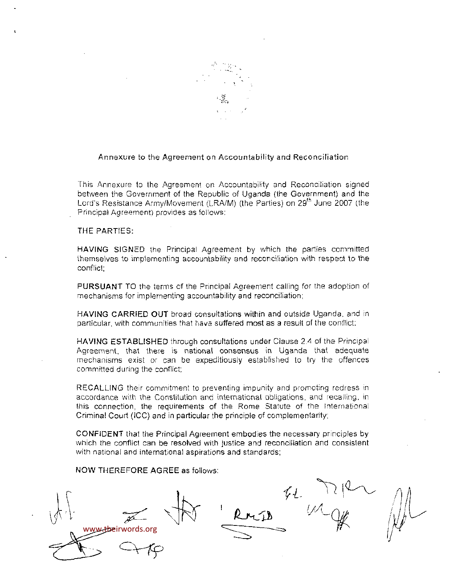

## Annexure to the Agreement on Accountability and Reconciliation

This Annexure to ihe Agreement on Accountability and Reconciliation signed between the Government of the Republic of Uganda (the Government) and the Lord's Resistance Army/Movement (LRA/M) (the Parties) on 29<sup>th</sup> June 2007 (the Principal Agreement) provides as follows;

# THE PARTIES:

HAVING SIGNED the Principal Agreement by which the parties committed themselves to implementing accountability and reconciliation with respect to the conflict;

PURSUANT TO the terms of the Principal Agreement calling for the adoption of mechanisms for implementing accountability and reconciliation:

HAVING CARRIED OUT broad consultations within and outside Uganda, and in particular, with communities that have suffered most as a result of the conflict;

HAVING ESTABLISHED through consultations under Clause 2.4 of the Principal Agreement, that there is national consensus in Uganda that adequate mechanisms exist or can be expeditiously established to try the offences committed during the conflict:

RECALLING their commitment to preventing impunity and promoting redress in accordance with the Constitution and international obligations, and recalling, in this connection, the requirements of the Rome Statute of the International Criminal Court (ICC) and in particular the principle of complementarity;

CONFIDENT that the Principal Agreement embodies the necessary principles by which the conflict can be resolved with justice and reconciliation and consistent with national and international aspirations and standards;

NOW THEREFORE AGREE as follows:

words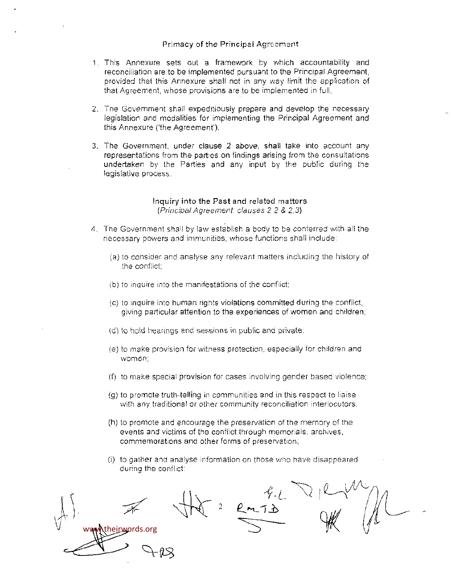#### Primacy of the Principal Agreement

- 1. This Annexure sets out a framework by which accountability and reconciliation are to be implemented pursuant to the Principal Agreement, provided thai this Annexure shall not in any way limit the application of that Agreement, whose provisions are to be implemented in full.
- 2. The Government shall expeditiously prepare and develop the necessary legislation and modalities for implementing the Principal Agreement and this Annexure ('the Agreement').
- 3. The Government, under clause 2 above, shall take into account any representations from the parties on findings arising from the consultations undertaken by the Parties and any input by the public during the legislative process.

#### Inquiry into the Past and related matters {Principal Agreement, clauses 2 2 & 2.3)

- 4. The Government shall by law establish a body to be conferred with all the necessary powers and immunities, whose functions shall include:
	- (a) to consider and analyse any relevant matters including the history of the conflict;
	- (b) to inquire into the manifestations of the conflict:
	- (c) to inquire into human rights violations committed during the conflict, giving particular attention to the experiences of women and children;
	- (d) to held hearings and sessions in public and private;
	- (e) to make provision for witness protection, especially for children and women;
	- (f) to make special provision for cases involving gender based violence;
	- (g) to promote truth-telling in communities and in this respect to liaise with any traditional or other community reconciliation interlocutors;
	- (h) to promote and encourage the preservation of the memory of the events and victims of the conflict through memorials, archives, commemorations and other forms of preservation,
	- (i) to gather and analyse information en those who have disappeared durina the conflict:

www.theirwords.org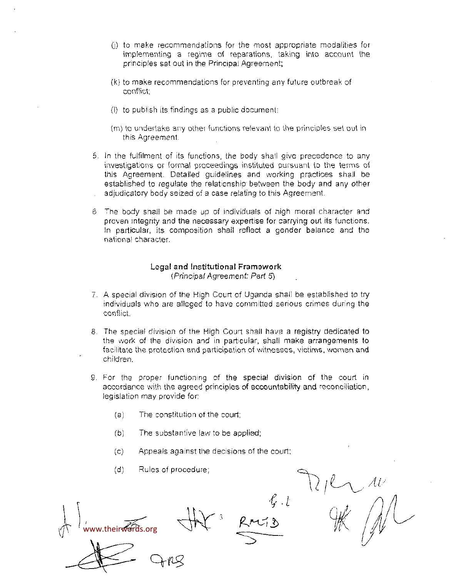- (j) to make recommendations for the most appropriate modalities for implementing a regime of reparations, taking into account the principles set out in the Principal Agreement;
- (k) to make recommendations for preventing any future outbreak of conflict;
- (i) to publish its findings as a public document:
- (m) to undertake any other functions relevant to the principles set out in this Agreement.
- 5. In ihe fulfilment of its functions, the body shall give precedence to any investigations or formal proceedings instituted pursuant to the terms of this Agreement. Detailed guidelines and working practices shall be established to regulate the relationship between the body and any other adjudicatory body seized of a case relating to this Agreement.
- 6 The body shall be made up of individuals of high moral character and proven integrity and the necessary expertise for carrying out its functions. in particular, its composition shall reflect a gender balance and the national character.

#### Legal and Instituttonal Framework (Principal Agreement: Part 5}

- 7. A special division of the High Court of Uganda shall be established to try individuals who are alleged to have committed serious crimes during the conflict.
- 8. The special division of the High Court shall have a registry dedicated to the work of the division and in particular, shall make arrangements to facilitate the protection and participation of witnesses, victims, women and children.
- 9. For the proper functioning of the special division of the court in accordance with the agreed principles of accountability and reconciliation, legislation may provide for:
	- $(a)$ The constitution of the court;
	- $(b)$ The substantive law to be applied;
	- $(c)$ Appeals against the decisions of the court;
	- Rules of procedure;  $(d)$

www.theirwords.org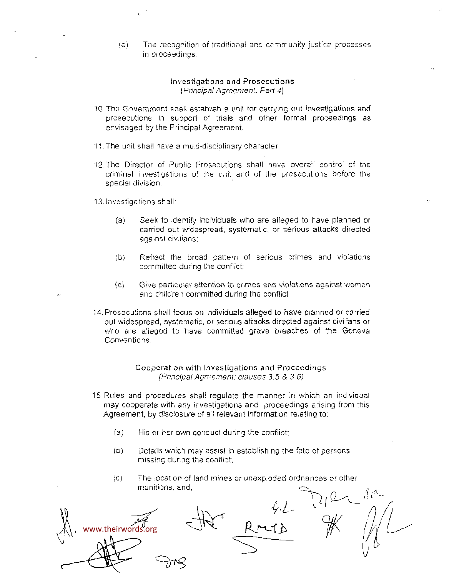(e) The recognition of traditional and community justice processes in proceedings

## investigations and Prosecutions {Principal Agreement: Part 4}

- 10.The Government shall establish a unit for carrying out investigations and prosecutions in support of triais and other formal proceedings as envisaged by the Principal Agreement.
- 11 The unit shall have a multi-disciplinary character.
- 12.The Director of Public Prosecutions shall have overall control of the criminal investigations of the unit and of the prosecutions before the special division.

13. Investigations shall

- (a) Seek to identify individuals who are alleged to have planned or carried out widespread, systematic, or serious attacks directed against civilians;
- (b) Reflect the broad pattern of serious crimes and violations committed during the conflict;
- (c) Give particular attention to crimes and violations against women and children committed during the conflict.
- 14. Prosecutions shall focus on individuals alleged to have planned or carried out widespread, systematic, or serious attacks directed against civilians or who are alleged to have committed grave breaches of the Geneval Conventions.

Cooperation with Investigations and Proceedings (Principal Agreement: clauses 3.5 & 3.6)

- 15 Rules and procedures shall regulate the manner in which an individual may cooperate with any investigations and proceedings arising from this Agreement, by disclosure of all relevant information relating to;
	- (a) His or her own conduct during the conflict;
	- (b) Details which may assist in establishing the fate of persons missing during the conflict;
	- (c) The location of land mines or unexploded ordnances or other munitions, and,

www.theirwords.org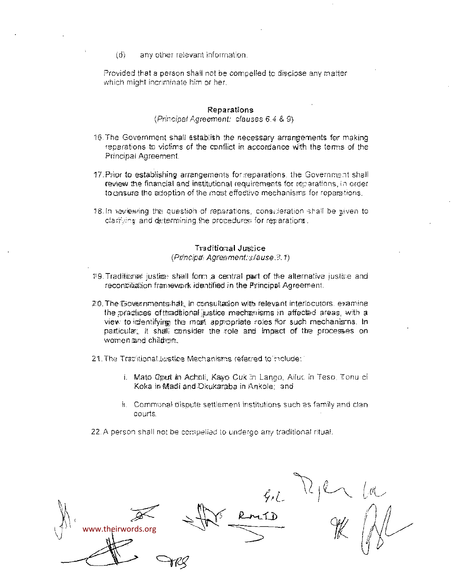id) any other relevant information.

Provided that a person shall not be compelled to disclose any matter which might incriminate him or her.

#### Reparations

(Principal Agreement; clauses 6.4 8. 9)

- 15 The Government sha!l establish the raecessary arrangements for making reparations to victims of the conflict in accordance Wth the terms of the Principal Agreement.
- 17. Prior to establishing arrangements for reparations, the Government shall review Ihe financial and institutional requirements for reparations, in order to cansure the adoption of the most effective mechanisms for reparations.
- 18. In seviewing the question of reparations, consideration shall be given to clarifying and determining the procedures for reparations.

# Traditional Justice

(Principal: Agreement: clause.3.1)

- $19$ . Traditions i justice; shall form a central part of the alternative justice and reconciliation framework identified in the Principal Agreement.
- 20. The Governments halt, in consultation with relevant interlocutors. examine the practices of thad tional justice mechanisms in affected areas, with a view to identifying the most appropriate roles flor such mechanisms. In particular, it shall consider the role and impact of the processes on women and children.
- 21. The Traciltional Justice Mechanisms referred to include: "
	- i. Mato Qaurt in Acholi, Kavo Cuk in Lango, Ailuc in Teso, Tonu ci Koka in Madi and Dkukaraba in Ankole; and
	- ii. Commonal dispute settlement institutions such as family and clancourts.
- 22. A person shall not be compelled to undergo any traditional ritual.

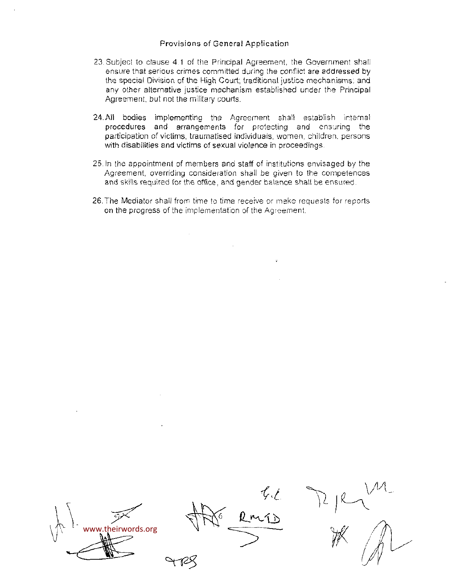# Provisions of Genera! Application

- 23. Subject to clause 4.1 of the Principal Agreement, the Government shall ensure that serious crimes committed during the conflict are addressed by the special Division of the High Court; traditional justice mechanisms; and any other alternative justice mechanism established under the Principal Agreement, but not the military courts.
- 24. All bodies implementing the Agreement shall establish internal procedures and arrangements for protecting and ensuring the participation of victims, traumatised individuals, women, children, persons with disabilities and victims of sexual violence in proceedings.
- 25. In the appointment of members and staff of institutions envisaged by the Agreement, overriding consideration shall be given to the competences and skills required for the office, and gender balance shall be ensured.
- 26. The Mediator shall from time to time receive or make requests for reports. on the progress of the implementation of the Agreement.

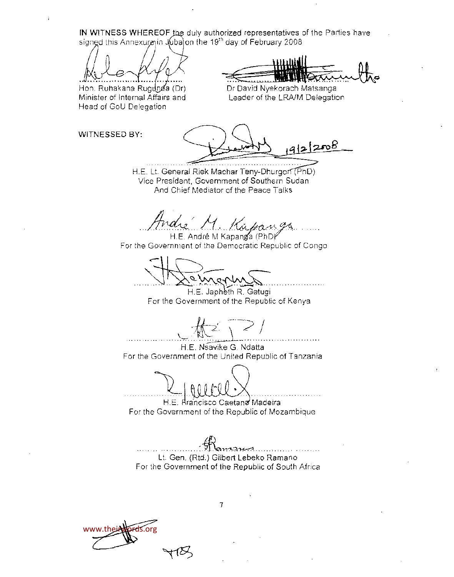**IN WITNESS WHEREOF** the duly authorized representatives of the Parties have signed this Annexureyin Jubajon the 19<sup>th</sup> day of February 2008

Hon. Ruhakana Rugunda (Dr) Minister of Internal Affairs and Head of GoU Delegation

Dr David Nyekorach Matsanga Leader of the LRA/M Delegation

WITNESSED BY:

 $4121208$ 

H.F. Lt. General Riek Machar Teny-Dhurgon (PhD) Vice President, Government of Southern Sudan And Chief Mediator of the Peace Talks

dre M. Kapang<br>H.E. André M Kapanda (PhDr

For the Government of the Democratic Republic of Congo

H.E. Japheth R. Getugi For the Government of the Republic of Kenya

H.E. Nsavike G. Ndatta For the Government of the United Republic of Tanzania

H.E. Rra'ncisco Caetana Madeira For the Government of the Republic of Mozambique

Lt. Gen. (Rtd.) Gilbert Lebeko Ramano For the Government of the Republic of South Africa

www.theirwords.org

 $\overline{7}$